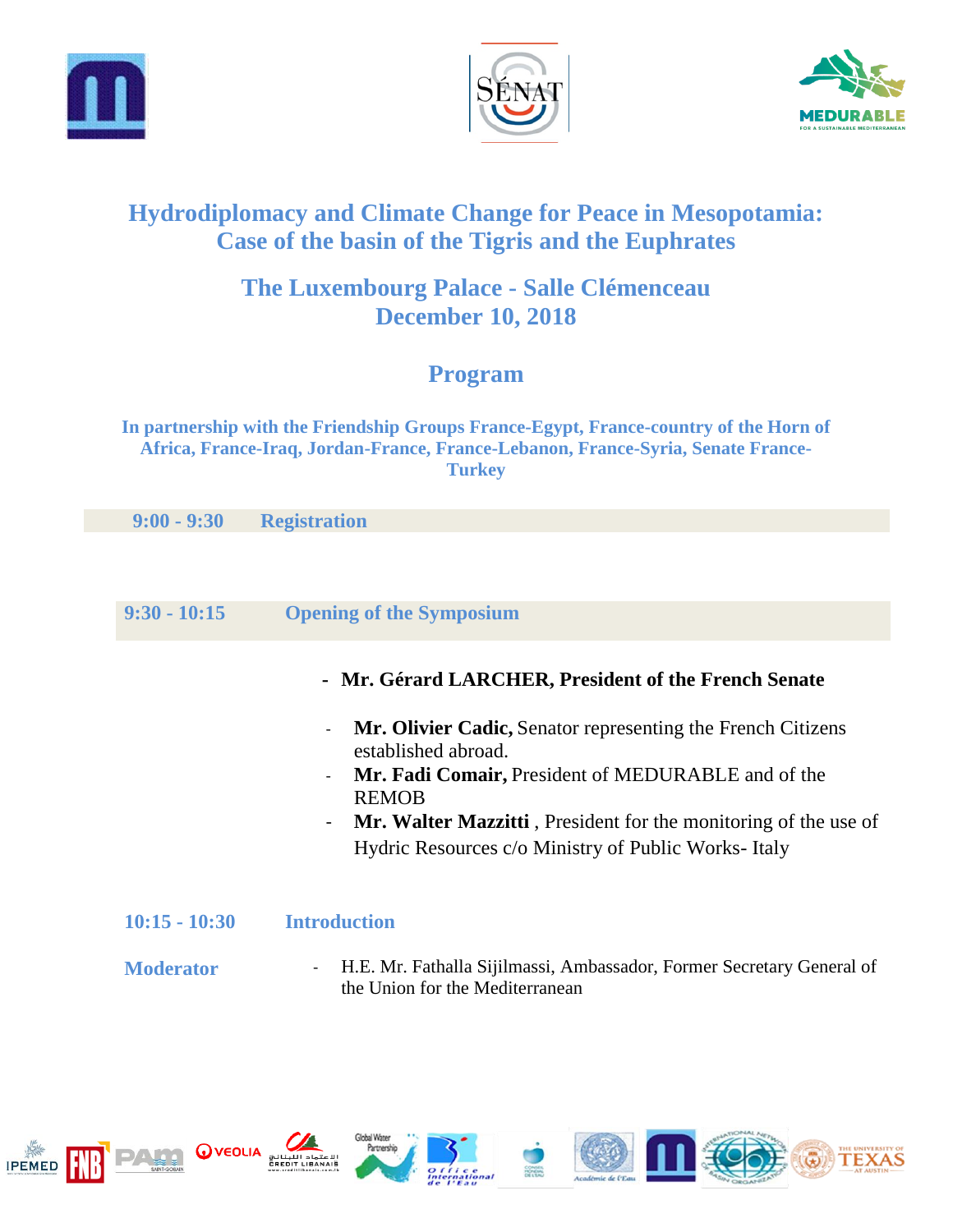





# **Hydrodiplomacy and Climate Change for Peace in Mesopotamia: Case of the basin of the Tigris and the Euphrates**

# **The Luxembourg Palace - Salle Clémenceau December 10, 2018**

# **Program**

**In partnership with the Friendship Groups France-Egypt, France-country of the Horn of Africa, France-Iraq, Jordan-France, France-Lebanon, France-Syria, Senate France-Turkey**

 **9:00 - 9:30 Registration**

## **9:30 - 10:15 Opening of the Symposium**

- **- Mr. Gérard LARCHER, President of the French Senate**
- **Mr. Olivier Cadic,** Senator representing the French Citizens established abroad.
- **Mr. Fadi Comair,** President of MEDURABLE and of the REMOB
- **Mr. Walter Mazzitti** , President for the monitoring of the use of Hydric Resources c/o Ministry of Public Works- Italy

#### **10:15 - 10:30 Introduction**

**Moderator**  - H.E. Mr. Fathalla Sijilmassi, Ambassador, Former Secretary General of the Union for the Mediterranean















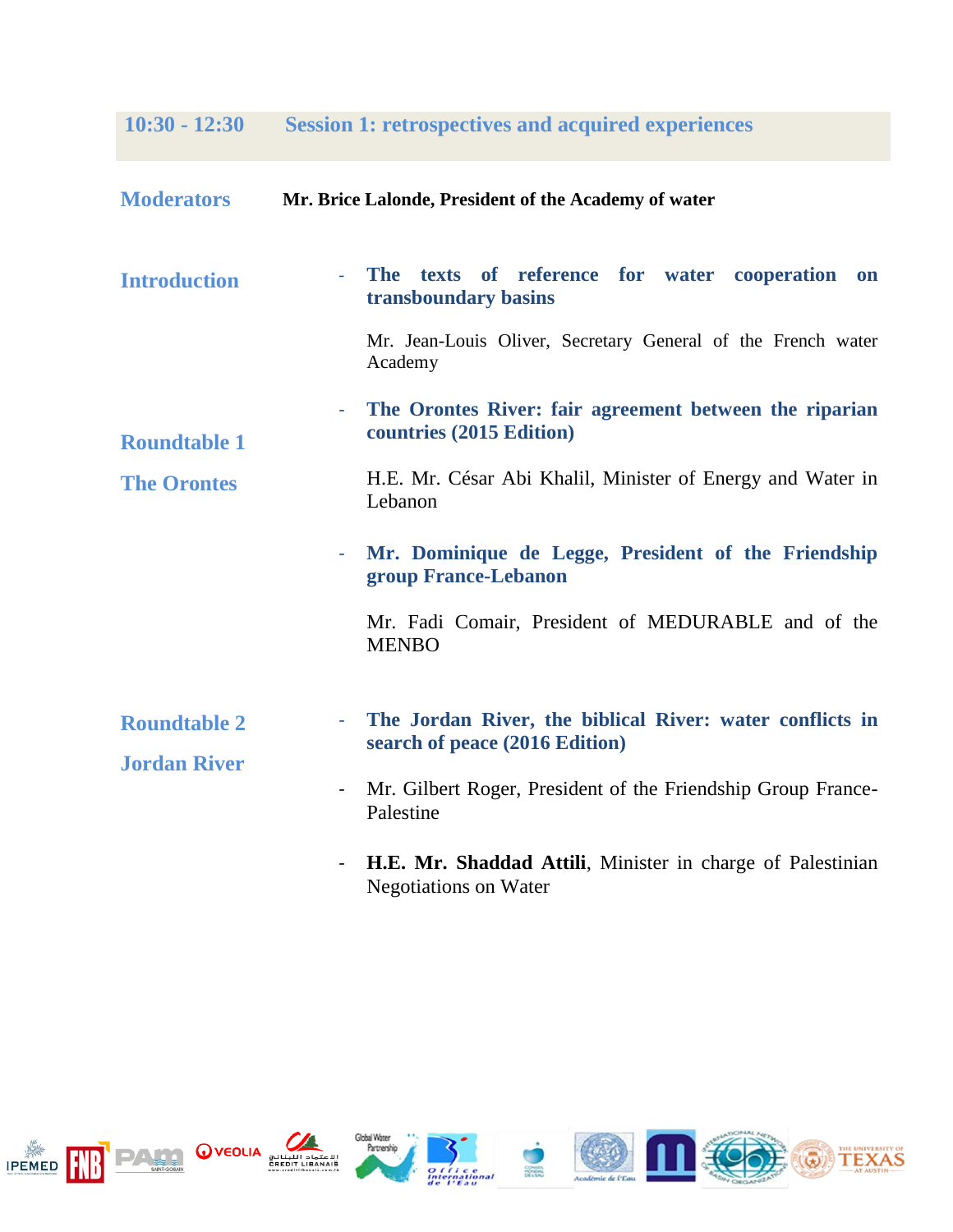**10:30 - 12:30 Session 1: retrospectives and acquired experiences**

| <b>Moderators</b>                          | Mr. Brice Lalonde, President of the Academy of water                                            |
|--------------------------------------------|-------------------------------------------------------------------------------------------------|
| <b>Introduction</b>                        | texts of reference for water cooperation<br><b>The</b><br>on<br>transboundary basins            |
| <b>Roundtable 1</b><br><b>The Orontes</b>  | Mr. Jean-Louis Oliver, Secretary General of the French water<br>Academy                         |
|                                            | The Orontes River: fair agreement between the riparian<br>countries (2015 Edition)              |
|                                            | H.E. Mr. César Abi Khalil, Minister of Energy and Water in<br>Lebanon                           |
|                                            | Mr. Dominique de Legge, President of the Friendship<br>group France-Lebanon                     |
|                                            | Mr. Fadi Comair, President of MEDURABLE and of the<br><b>MENBO</b>                              |
| <b>Roundtable 2</b><br><b>Jordan River</b> | The Jordan River, the biblical River: water conflicts in<br>٠<br>search of peace (2016 Edition) |
|                                            | Mr. Gilbert Roger, President of the Friendship Group France-<br>Palestine                       |
|                                            | <b>H.E. Mr. Shaddad Attili</b> , Minister in charge of Palestinian                              |

- **H.E. Mr. Shaddad Attili**, Minister in charge of Palestinian Negotiations on Water















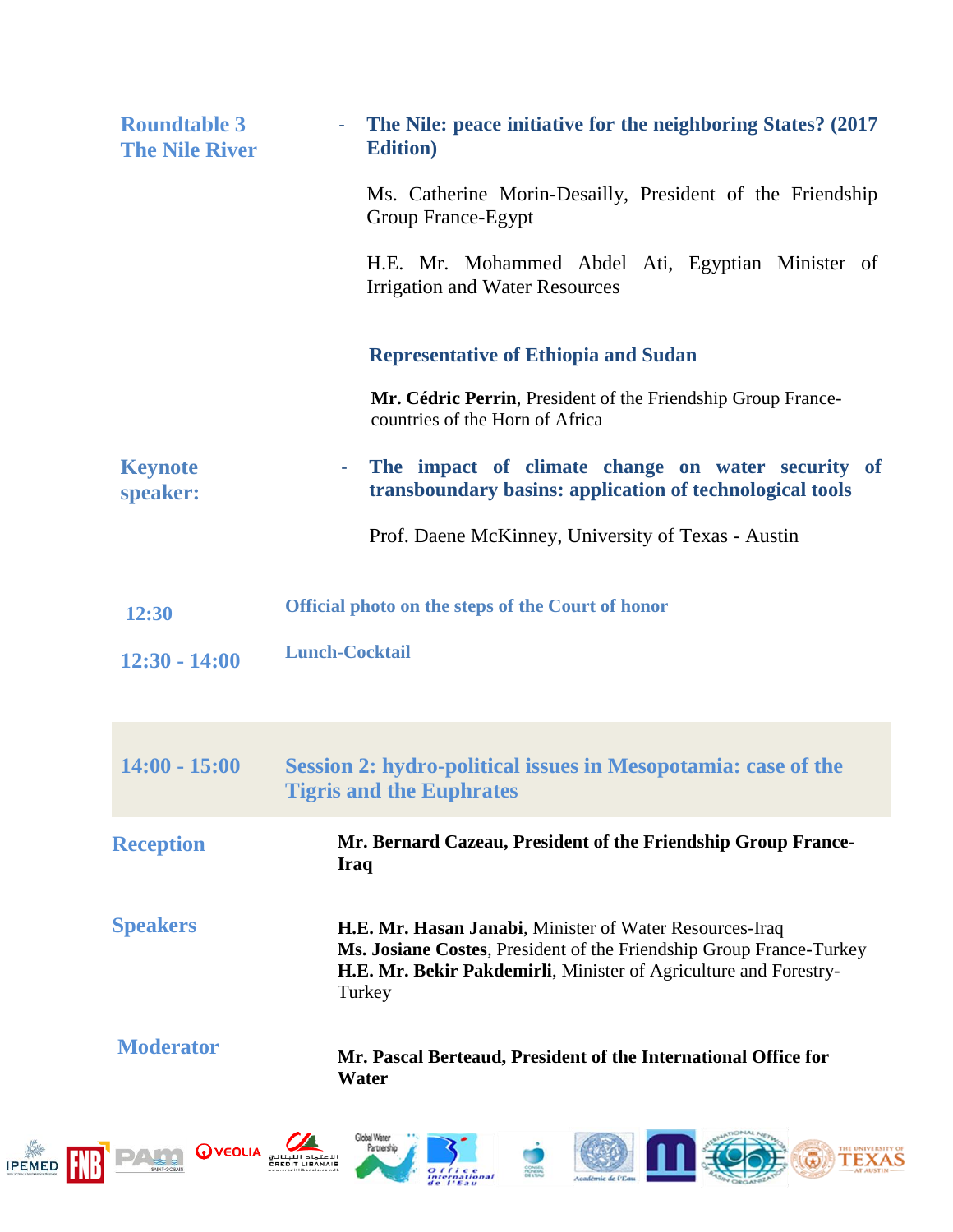| <b>Roundtable 3</b><br><b>The Nile River</b> |                                        | The Nile: peace initiative for the neighboring States? (2017)<br><b>Edition</b> )                                                                                                                            |
|----------------------------------------------|----------------------------------------|--------------------------------------------------------------------------------------------------------------------------------------------------------------------------------------------------------------|
|                                              |                                        | Ms. Catherine Morin-Desailly, President of the Friendship<br>Group France-Egypt                                                                                                                              |
|                                              |                                        | H.E. Mr. Mohammed Abdel Ati, Egyptian Minister of<br><b>Irrigation and Water Resources</b>                                                                                                                   |
|                                              |                                        | <b>Representative of Ethiopia and Sudan</b>                                                                                                                                                                  |
|                                              |                                        | Mr. Cédric Perrin, President of the Friendship Group France-<br>countries of the Horn of Africa                                                                                                              |
|                                              | <b>Keynote</b><br>speaker:             | The impact of climate change on water security of<br>$\sim$ 100 $\mu$<br>transboundary basins: application of technological tools                                                                            |
|                                              |                                        | Prof. Daene McKinney, University of Texas - Austin                                                                                                                                                           |
| 12:30                                        |                                        | Official photo on the steps of the Court of honor                                                                                                                                                            |
|                                              | $12:30 - 14:00$                        | <b>Lunch-Cocktail</b>                                                                                                                                                                                        |
|                                              |                                        |                                                                                                                                                                                                              |
|                                              | $14:00 - 15:00$                        | <b>Session 2: hydro-political issues in Mesopotamia: case of the</b><br><b>Tigris and the Euphrates</b>                                                                                                      |
|                                              | <b>Reception</b>                       | Mr. Bernard Cazeau, President of the Friendship Group France-<br><b>Iraq</b>                                                                                                                                 |
| <b>Speakers</b>                              |                                        | H.E. Mr. Hasan Janabi, Minister of Water Resources-Iraq<br>Ms. Josiane Costes, President of the Friendship Group France-Turkey<br>H.E. Mr. Bekir Pakdemirli, Minister of Agriculture and Forestry-<br>Turkey |
|                                              | <b>Moderator</b>                       | Mr. Pascal Berteaud, President of the International Office for<br>Water                                                                                                                                      |
| <b>IPEMED</b>                                | <b>WEOLIA</b><br><b>REDIT LIBANAIS</b> | Global Water<br>Partnership<br>ternational                                                                                                                                                                   |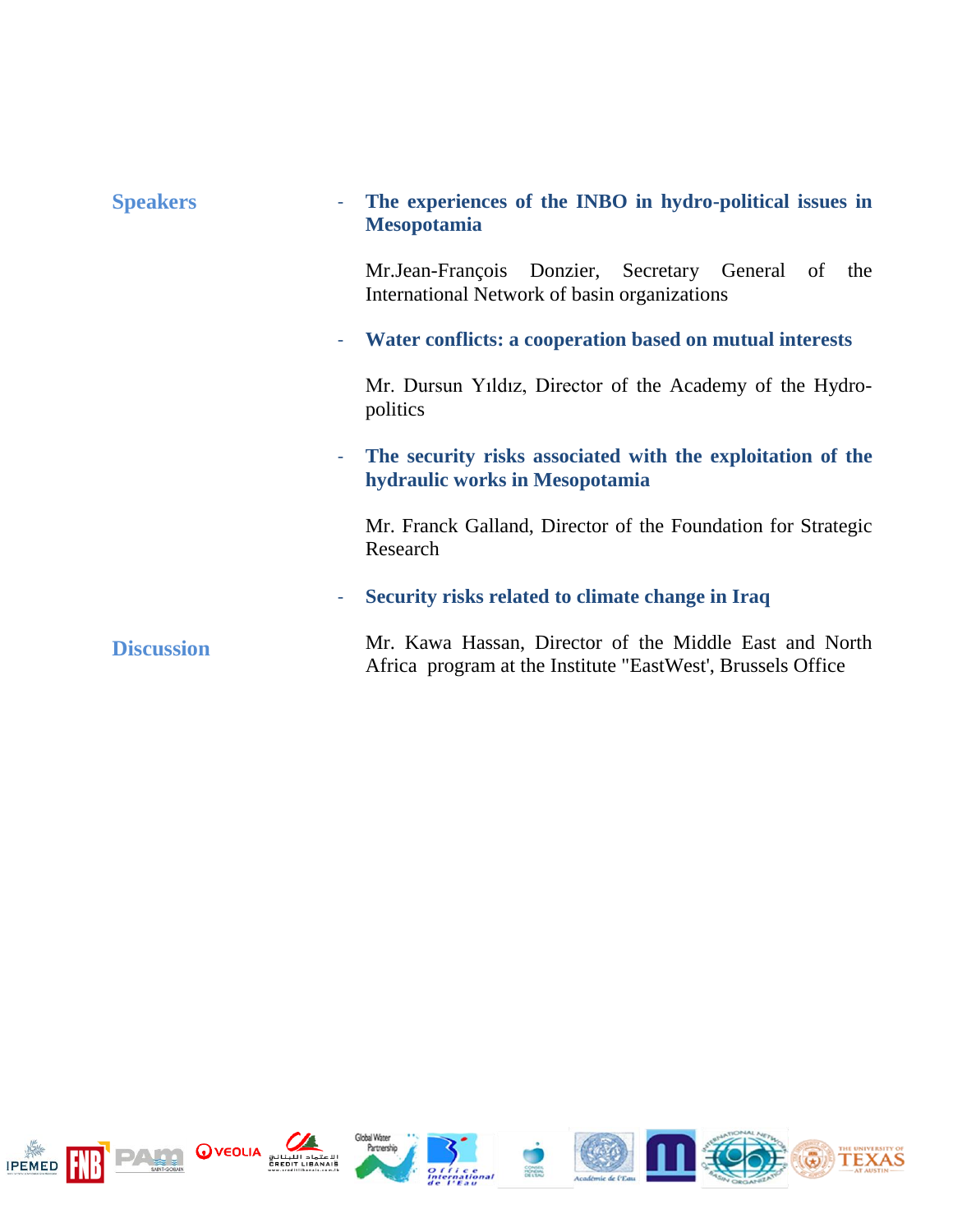| <b>Speakers</b>   | The experiences of the INBO in hydro-political issues in<br><b>Mesopotamia</b>                                        |
|-------------------|-----------------------------------------------------------------------------------------------------------------------|
|                   | Mr.Jean-François Donzier, Secretary General of the<br>International Network of basin organizations                    |
|                   | Water conflicts: a cooperation based on mutual interests                                                              |
|                   | Mr. Dursun Yildiz, Director of the Academy of the Hydro-<br>politics                                                  |
|                   | The security risks associated with the exploitation of the<br>$\equiv$<br>hydraulic works in Mesopotamia              |
|                   | Mr. Franck Galland, Director of the Foundation for Strategic<br>Research                                              |
|                   | Security risks related to climate change in Iraq                                                                      |
| <b>Discussion</b> | Mr. Kawa Hassan, Director of the Middle East and North<br>Africa program at the Institute "EastWest', Brussels Office |

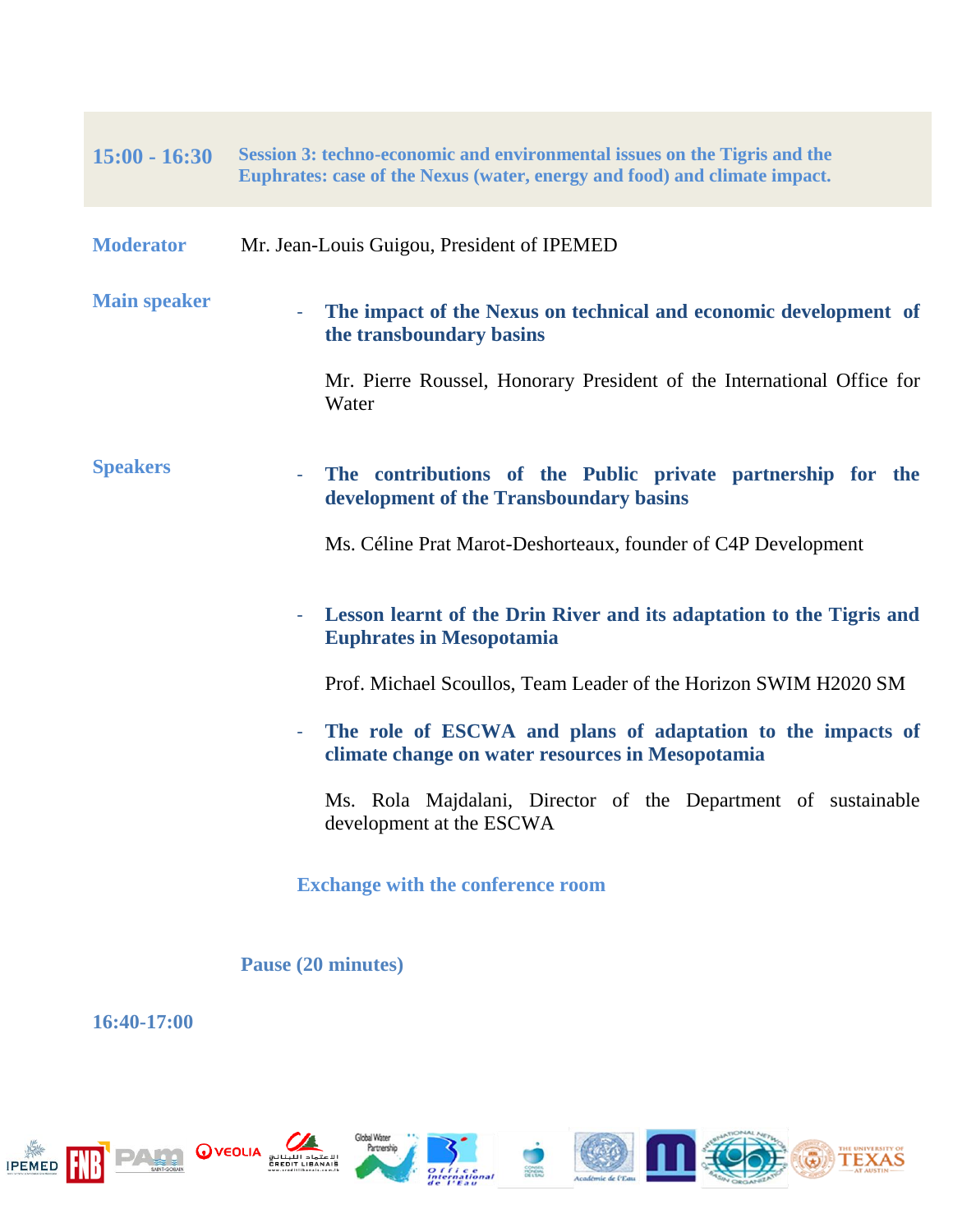## **15:00 - 16:30 Session 3: techno-economic and environmental issues on the Tigris and the Euphrates: case of the Nexus (water, energy and food) and climate impact.**

| <b>Moderator</b> | Mr. Jean-Louis Guigou, President of IPEMED |
|------------------|--------------------------------------------|
|------------------|--------------------------------------------|

## **Main speaker**  The impact of the Nexus on technical and economic development of **the transboundary basins** Mr. Pierre Roussel, Honorary President of the International Office for Water

#### **Speakers** The contributions of the Public private partnership for the **development of the Transboundary basins**

Ms. Céline Prat Marot-Deshorteaux, founder of C4P Development

## - **Lesson learnt of the Drin River and its adaptation to the Tigris and Euphrates in Mesopotamia**

Prof. Michael Scoullos, Team Leader of the Horizon SWIM H2020 SM

- **The role of ESCWA and plans of adaptation to the impacts of climate change on water resources in Mesopotamia**

Ms. Rola Majdalani, Director of the Department of sustainable development at the ESCWA

**Exchange with the conference room**

### **Pause (20 minutes)**

**16:40-17:00** 













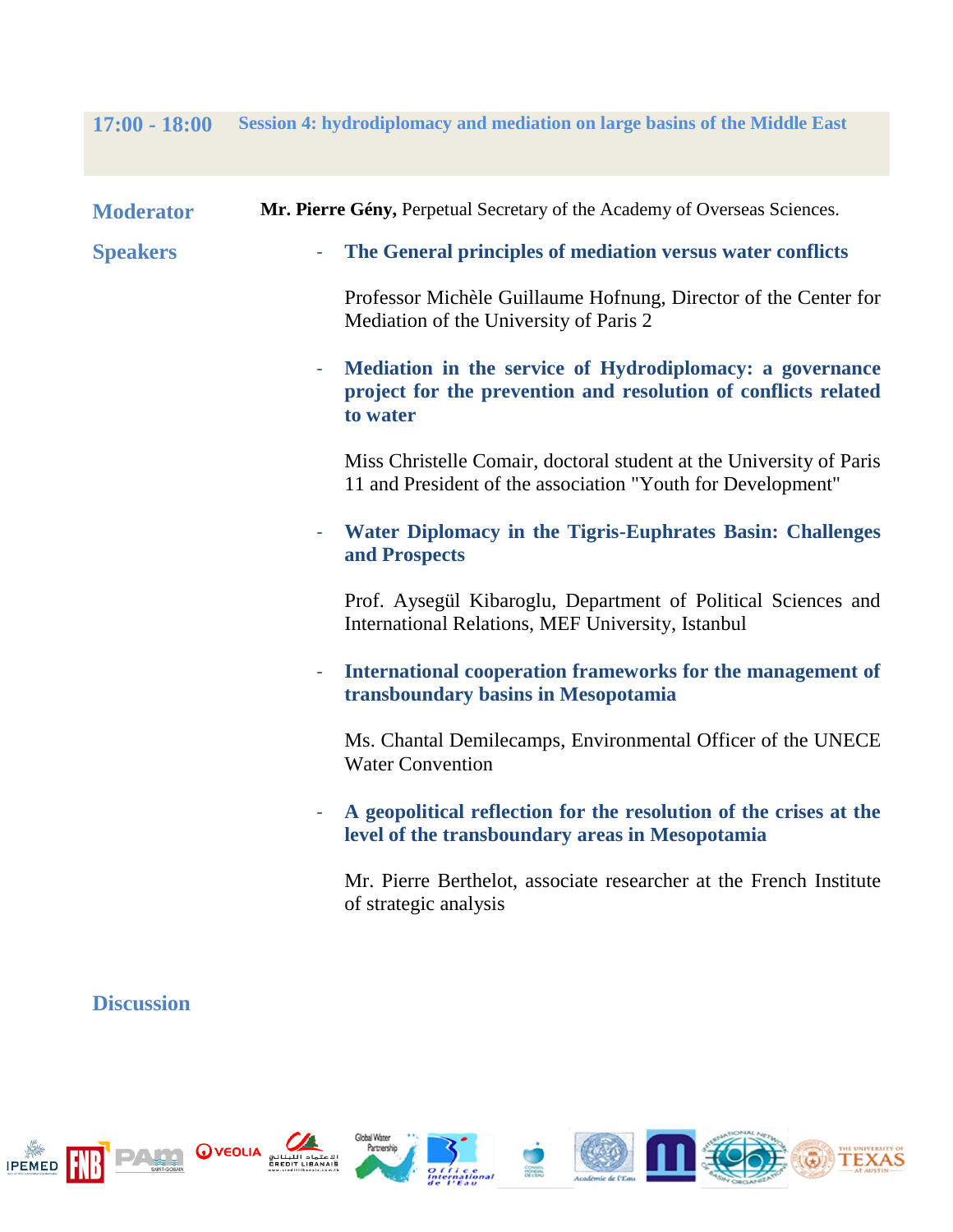## **17:00 - 18:00 Session 4: hydrodiplomacy and mediation on large basins of the Middle East**

| <b>Moderator</b> | Mr. Pierre Gény, Perpetual Secretary of the Academy of Overseas Sciences.                                                              |
|------------------|----------------------------------------------------------------------------------------------------------------------------------------|
| <b>Speakers</b>  | The General principles of mediation versus water conflicts<br>$\overline{\phantom{a}}$                                                 |
|                  | Professor Michèle Guillaume Hofnung, Director of the Center for<br>Mediation of the University of Paris 2                              |
|                  | Mediation in the service of Hydrodiplomacy: a governance<br>project for the prevention and resolution of conflicts related<br>to water |
|                  | Miss Christelle Comair, doctoral student at the University of Paris<br>11 and President of the association "Youth for Development"     |
|                  | Water Diplomacy in the Tigris-Euphrates Basin: Challenges<br>$\overline{\phantom{a}}$<br>and Prospects                                 |
|                  | Prof. Aysegül Kibaroglu, Department of Political Sciences and<br>International Relations, MEF University, Istanbul                     |
|                  | International cooperation frameworks for the management of<br>Ξ<br>transboundary basins in Mesopotamia                                 |
|                  | Ms. Chantal Demilecamps, Environmental Officer of the UNECE<br><b>Water Convention</b>                                                 |
|                  | A geopolitical reflection for the resolution of the crises at the<br>level of the transboundary areas in Mesopotamia                   |
|                  | Mr. Pierre Berthelot, associate researcher at the French Institute<br>of strategic analysis                                            |

# **Discussion**